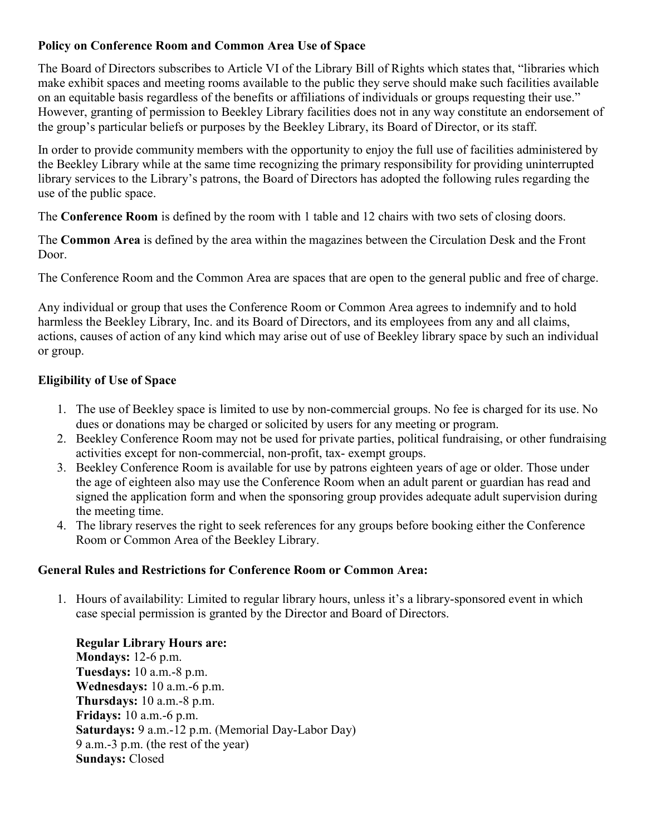## Policy on Conference Room and Common Area Use of Space

The Board of Directors subscribes to Article VI of the Library Bill of Rights which states that, "libraries which make exhibit spaces and meeting rooms available to the public they serve should make such facilities available on an equitable basis regardless of the benefits or affiliations of individuals or groups requesting their use." However, granting of permission to Beekley Library facilities does not in any way constitute an endorsement of the group's particular beliefs or purposes by the Beekley Library, its Board of Director, or its staff.

In order to provide community members with the opportunity to enjoy the full use of facilities administered by the Beekley Library while at the same time recognizing the primary responsibility for providing uninterrupted library services to the Library's patrons, the Board of Directors has adopted the following rules regarding the use of the public space.

The **Conference Room** is defined by the room with 1 table and 12 chairs with two sets of closing doors.

The Common Area is defined by the area within the magazines between the Circulation Desk and the Front Door.

The Conference Room and the Common Area are spaces that are open to the general public and free of charge.

Any individual or group that uses the Conference Room or Common Area agrees to indemnify and to hold harmless the Beekley Library, Inc. and its Board of Directors, and its employees from any and all claims, actions, causes of action of any kind which may arise out of use of Beekley library space by such an individual or group.

# Eligibility of Use of Space

- 1. The use of Beekley space is limited to use by non-commercial groups. No fee is charged for its use. No dues or donations may be charged or solicited by users for any meeting or program.
- 2. Beekley Conference Room may not be used for private parties, political fundraising, or other fundraising activities except for non-commercial, non-profit, tax- exempt groups.
- 3. Beekley Conference Room is available for use by patrons eighteen years of age or older. Those under the age of eighteen also may use the Conference Room when an adult parent or guardian has read and signed the application form and when the sponsoring group provides adequate adult supervision during the meeting time.
- 4. The library reserves the right to seek references for any groups before booking either the Conference Room or Common Area of the Beekley Library.

## General Rules and Restrictions for Conference Room or Common Area:

1. Hours of availability: Limited to regular library hours, unless it's a library-sponsored event in which case special permission is granted by the Director and Board of Directors.

Regular Library Hours are: Mondays: 12-6 p.m. Tuesdays: 10 a.m.-8 p.m. Wednesdays: 10 a.m.-6 p.m. Thursdays: 10 a.m.-8 p.m. Fridays: 10 a.m.-6 p.m. Saturdays: 9 a.m.-12 p.m. (Memorial Day-Labor Day) 9 a.m.-3 p.m. (the rest of the year) Sundays: Closed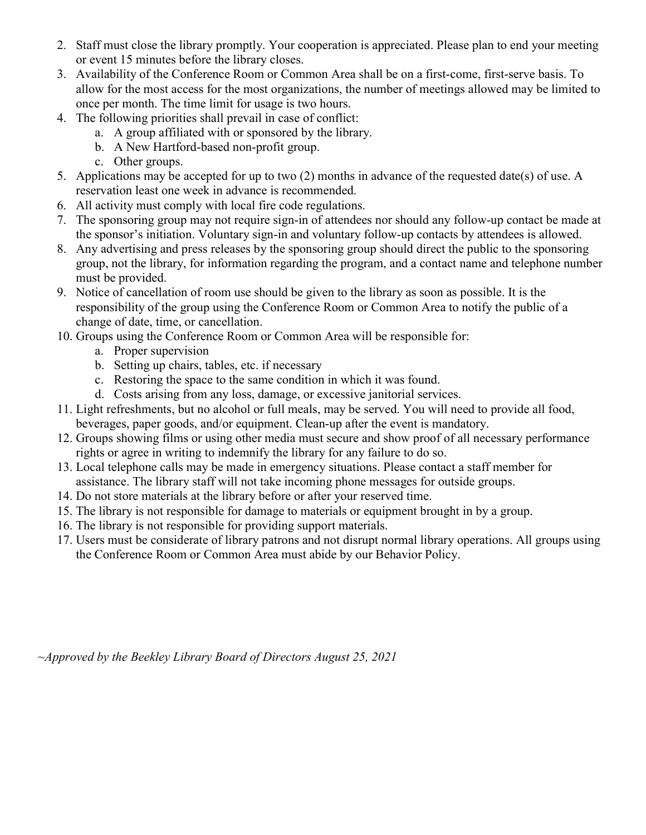- 2. Staff must close the library promptly. Your cooperation is appreciated. Please plan to end your meeting or event 15 minutes before the library closes.
- 3. Availability of the Conference Room or Common Area shall be on a first-come, first-serve basis. To allow for the most access for the most organizations, the number of meetings allowed may be limited to once per month. The time limit for usage is two hours.
- 4. The following priorities shall prevail in case of conflict:
	- a. A group affiliated with or sponsored by the library.
	- b. A New Hartford-based non-profit group.
	- c. Other groups.
- 5. Applications may be accepted for up to two (2) months in advance of the requested date(s) of use. A reservation least one week in advance is recommended.
- 6. All activity must comply with local fire code regulations.
- 7. The sponsoring group may not require sign-in of attendees nor should any follow-up contact be made at the sponsor's initiation. Voluntary sign-in and voluntary follow-up contacts by attendees is allowed.
- 8. Any advertising and press releases by the sponsoring group should direct the public to the sponsoring group, not the library, for information regarding the program, and a contact name and telephone number must be provided.
- 9. Notice of cancellation of room use should be given to the library as soon as possible. It is the responsibility of the group using the Conference Room or Common Area to notify the public of a change of date, time, or cancellation.
- 10. Groups using the Conference Room or Common Area will be responsible for:
	- a. Proper supervision
	- b. Setting up chairs, tables, etc. if necessary
	- c. Restoring the space to the same condition in which it was found.
	- d. Costs arising from any loss, damage, or excessive janitorial services.
- 11. Light refreshments, but no alcohol or full meals, may be served. You will need to provide all food, beverages, paper goods, and/or equipment. Clean-up after the event is mandatory.
- 12. Groups showing films or using other media must secure and show proof of all necessary performance rights or agree in writing to indemnify the library for any failure to do so.
- 13. Local telephone calls may be made in emergency situations. Please contact a staff member for assistance. The library staff will not take incoming phone messages for outside groups.
- 14. Do not store materials at the library before or after your reserved time.
- 15. The library is not responsible for damage to materials or equipment brought in by a group.
- 16. The library is not responsible for providing support materials.
- 17. Users must be considerate of library patrons and not disrupt normal library operations. All groups using the Conference Room or Common Area must abide by our Behavior Policy.

 $\sim$ Approved by the Beekley Library Board of Directors August 25, 2021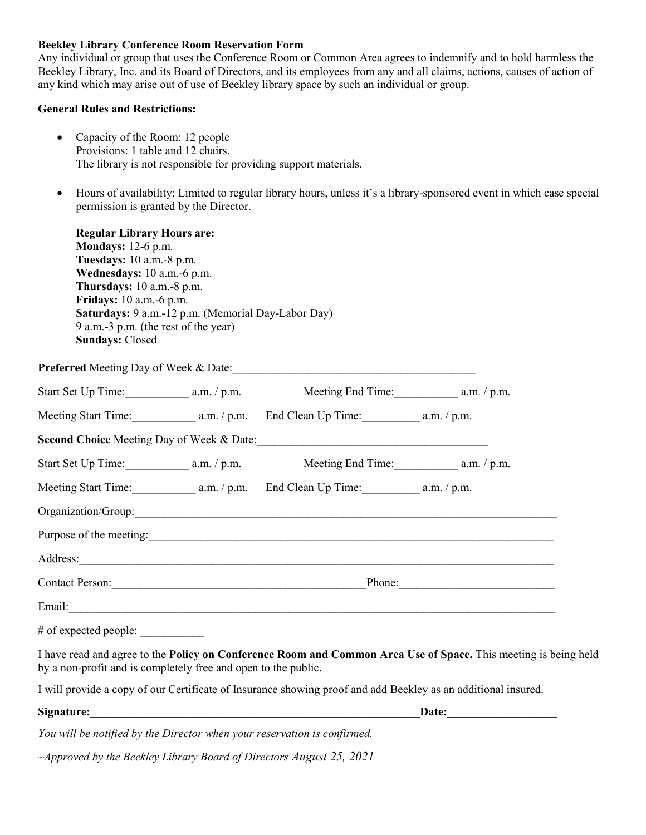#### Beekley Library Conference Room Reservation Form

Any individual or group that uses the Conference Room or Common Area agrees to indemnify and to hold harmless the Beekley Library, Inc. and its Board of Directors, and its employees from any and all claims, actions, causes of action of any kind which may arise out of use of Beekley library space by such an individual or group.

#### General Rules and Restrictions:

- Capacity of the Room: 12 people Provisions: 1 table and 12 chairs. The library is not responsible for providing support materials.
- Hours of availability: Limited to regular library hours, unless it's a library-sponsored event in which case special permission is granted by the Director.

| <b>Regular Library Hours are:</b><br><b>Mondays:</b> 12-6 p.m.<br>Tuesdays: 10 a.m.-8 p.m.<br>Wednesdays: 10 a.m.-6 p.m.<br>Thursdays: 10 a.m.-8 p.m.<br>Fridays: 10 a.m. -6 p.m.<br>Saturdays: 9 a.m.-12 p.m. (Memorial Day-Labor Day)<br>9 a.m.-3 p.m. (the rest of the year)<br><b>Sundays: Closed</b> |  |                                                                                                                                                                                                                                    |                                                                                                                 |  |
|-----------------------------------------------------------------------------------------------------------------------------------------------------------------------------------------------------------------------------------------------------------------------------------------------------------|--|------------------------------------------------------------------------------------------------------------------------------------------------------------------------------------------------------------------------------------|-----------------------------------------------------------------------------------------------------------------|--|
|                                                                                                                                                                                                                                                                                                           |  |                                                                                                                                                                                                                                    |                                                                                                                 |  |
|                                                                                                                                                                                                                                                                                                           |  |                                                                                                                                                                                                                                    |                                                                                                                 |  |
|                                                                                                                                                                                                                                                                                                           |  |                                                                                                                                                                                                                                    |                                                                                                                 |  |
|                                                                                                                                                                                                                                                                                                           |  | Second Choice Meeting Day of Week & Date: \\connection materials are not been applied to the Second Choice Meeting Day of Week & Date:                                                                                             |                                                                                                                 |  |
| Start Set Up Time: a.m. / p.m.                                                                                                                                                                                                                                                                            |  |                                                                                                                                                                                                                                    |                                                                                                                 |  |
|                                                                                                                                                                                                                                                                                                           |  | Meeting Start Time: a.m. / p.m. End Clean Up Time: a.m. / p.m.                                                                                                                                                                     |                                                                                                                 |  |
|                                                                                                                                                                                                                                                                                                           |  |                                                                                                                                                                                                                                    |                                                                                                                 |  |
|                                                                                                                                                                                                                                                                                                           |  | Purpose of the meeting: <u>contained a set of the meeting</u> contained a set of the meeting contained a set of the meeting contained a set of the meeting contained a set of the meeting contained a set of the meeting contained |                                                                                                                 |  |
|                                                                                                                                                                                                                                                                                                           |  | Address: <u>Address:</u>                                                                                                                                                                                                           |                                                                                                                 |  |
|                                                                                                                                                                                                                                                                                                           |  |                                                                                                                                                                                                                                    |                                                                                                                 |  |
|                                                                                                                                                                                                                                                                                                           |  |                                                                                                                                                                                                                                    |                                                                                                                 |  |
| # of expected people:                                                                                                                                                                                                                                                                                     |  |                                                                                                                                                                                                                                    |                                                                                                                 |  |
| by a non-profit and is completely free and open to the public.                                                                                                                                                                                                                                            |  |                                                                                                                                                                                                                                    | I have read and agree to the Policy on Conference Room and Common Area Use of Space. This meeting is being held |  |
|                                                                                                                                                                                                                                                                                                           |  | I will provide a copy of our Certificate of Insurance showing proof and add Beekley as an additional insured.                                                                                                                      |                                                                                                                 |  |
|                                                                                                                                                                                                                                                                                                           |  |                                                                                                                                                                                                                                    | Date:                                                                                                           |  |
|                                                                                                                                                                                                                                                                                                           |  |                                                                                                                                                                                                                                    |                                                                                                                 |  |

You will be notified by the Director when your reservation is confirmed.

~Approved by the Beekley Library Board of Directors August 25, 2021